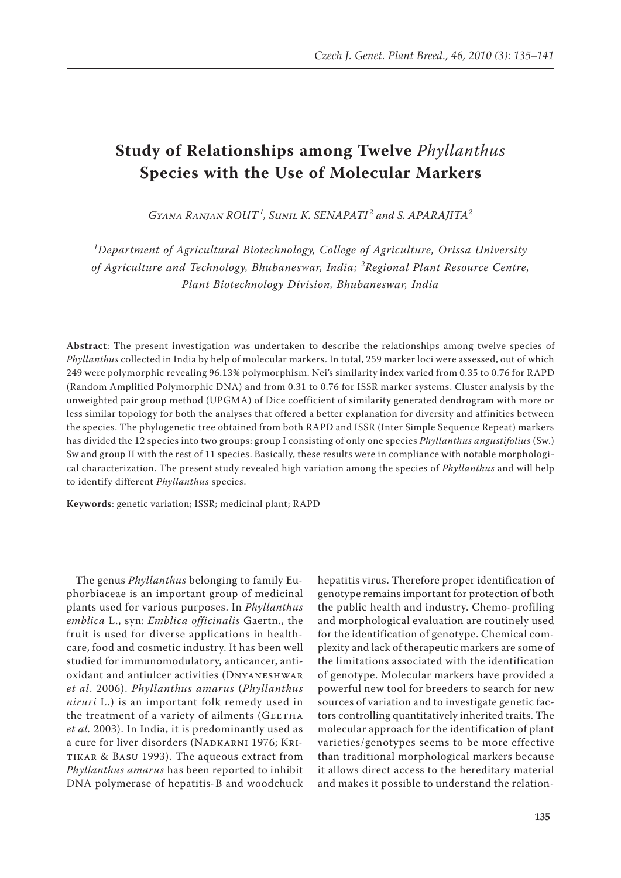# **Study of Relationships among Twelve** *Phyllanthus* **Species with the Use of Molecular Markers**

*Gyana Ranjan Rout<sup>1</sup> , Sunil K. Senapati <sup>2</sup> and S. Aparajita<sup>2</sup>*

*1 Department of Agricultural Biotechnology, College of Agriculture, Orissa University of Agriculture and Technology, Bhubaneswar, India; <sup>2</sup> Regional Plant Resource Centre, Plant Biotechnology Division, Bhubaneswar, India*

**Abstract**: The present investigation was undertaken to describe the relationships among twelve species of *Phyllanthus* collected in India by help of molecular markers. In total, 259 marker loci were assessed, out of which 249 were polymorphic revealing 96.13% polymorphism. Nei's similarity index varied from 0.35 to 0.76 for RAPD (Random Amplified Polymorphic DNA) and from 0.31 to 0.76 for ISSR marker systems. Cluster analysis by the unweighted pair group method (UPGMA) of Dice coefficient of similarity generated dendrogram with more or less similar topology for both the analyses that offered a better explanation for diversity and affinities between the species. The phylogenetic tree obtained from both RAPD and ISSR (Inter Simple Sequence Repeat) markers has divided the 12 species into two groups: group I consisting of only one species *Phyllanthus angustifolius* (Sw.) Sw and group II with the rest of 11 species. Basically, these results were in compliance with notable morphological characterization. The present study revealed high variation among the species of *Phyllanthus* and will help to identify different *Phyllanthus* species.

**Keywords**: genetic variation; ISSR; medicinal plant; RAPD

The genus *Phyllanthus* belonging to family Euphorbiaceae is an important group of medicinal plants used for various purposes. In *Phyllanthus emblica* L., syn: *Emblica officinalis* Gaertn., the fruit is used for diverse applications in healthcare, food and cosmetic industry. It has been well studied for immunomodulatory, anticancer, antioxidant and antiulcer activities (Dnyaneshwar *et al*. 2006). *Phyllanthus amarus* (*Phyllanthus niruri* L.) is an important folk remedy used in the treatment of a variety of ailments (GEETHA *et al.* 2003). In India, it is predominantly used as a cure for liver disorders (NADKARNI 1976; KRItikar & Basu 1993). The aqueous extract from *Phyllanthus amarus* has been reported to inhibit DNA polymerase of hepatitis-B and woodchuck

hepatitis virus. Therefore proper identification of genotype remains important for protection of both the public health and industry. Chemo-profiling and morphological evaluation are routinely used for the identification of genotype. Chemical complexity and lack of therapeutic markers are some of the limitations associated with the identification of genotype. Molecular markers have provided a powerful new tool for breeders to search for new sources of variation and to investigate genetic factors controlling quantitatively inherited traits. The molecular approach for the identification of plant varieties/genotypes seems to be more effective than traditional morphological markers because it allows direct access to the hereditary material and makes it possible to understand the relation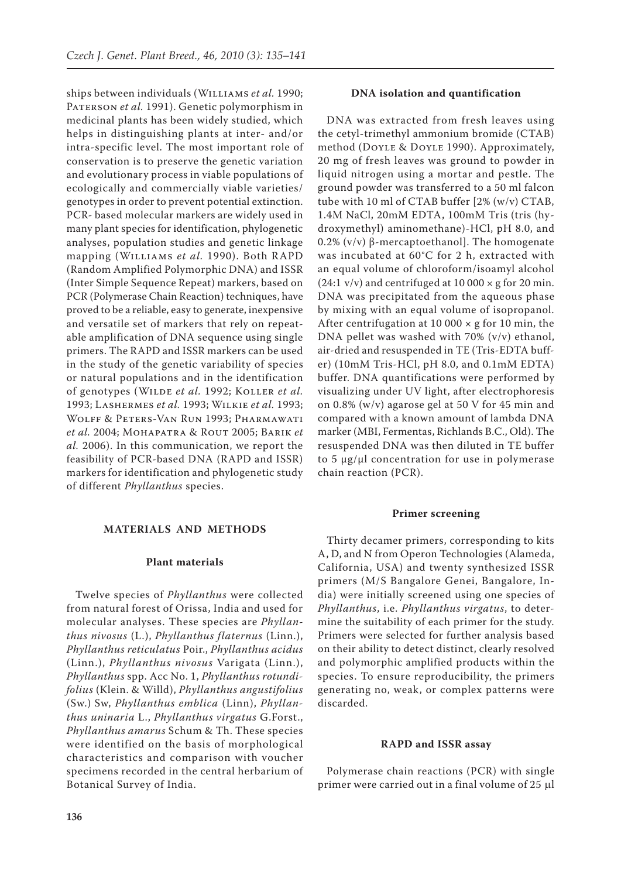ships between individuals (Williams *et al.* 1990; PATERSON *et al.* 1991). Genetic polymorphism in medicinal plants has been widely studied, which helps in distinguishing plants at inter- and/or intra-specific level. The most important role of conservation is to preserve the genetic variation and evolutionary process in viable populations of ecologically and commercially viable varieties/ genotypes in order to prevent potential extinction. PCR- based molecular markers are widely used in many plant species for identification, phylogenetic analyses, population studies and genetic linkage mapping (Williams *et al.* 1990). Both RAPD (Random Amplified Polymorphic DNA) and ISSR (Inter Simple Sequence Repeat) markers, based on PCR (Polymerase Chain Reaction) techniques, have proved to be a reliable, easy to generate, inexpensive and versatile set of markers that rely on repeatable amplification of DNA sequence using single primers. The RAPD and ISSR markers can be used in the study of the genetic variability of species or natural populations and in the identification of genotypes (Wilde *et al.* 1992; Koller *et al.*  1993; Lashermes *et al.* 1993; Wilkie *et al.* 1993; Wolff & Peters-Van Run 1993; Pharmawati *et al.* 2004; Mohapatra & Rout 2005; Barik *et al.* 2006). In this communication, we report the feasibility of PCR-based DNA (RAPD and ISSR) markers for identification and phylogenetic study of different *Phyllanthus* species.

## **Materials and Methods**

# **Plant materials**

Twelve species of *Phyllanthus* were collected from natural forest of Orissa, India and used for molecular analyses. These species are *Phyllanthus nivosus* (L.), *Phyllanthus flaternus* (Linn.), *Phyllanthus reticulatus* Poir., *Phyllanthus acidus* (Linn.), *Phyllanthus nivosus* Varigata (Linn.), *Phyllanthus* spp. Acc No. 1, *Phyllanthus rotundifolius* (Klein. & Willd), *Phyllanthus angustifolius* (Sw.) Sw, *Phyllanthus emblica* (Linn), *Phyllanthus uninaria* L., *Phyllanthus virgatus* G.Forst., *Phyllanthus amarus* Schum & Th. These species were identified on the basis of morphological characteristics and comparison with voucher specimens recorded in the central herbarium of Botanical Survey of India.

## **DNA isolation and quantification**

DNA was extracted from fresh leaves using the cetyl-trimethyl ammonium bromide (CTAB) method (Doyle & Doyle 1990). Approximately, 20 mg of fresh leaves was ground to powder in liquid nitrogen using a mortar and pestle. The ground powder was transferred to a 50 ml falcon tube with 10 ml of CTAB buffer [2% (w/v) CTAB, 1.4M NaCl, 20mM EDTA, 100mM Tris (tris (hydroxymethyl) aminomethane)-HCl, pH 8.0, and 0.2% (v/v) β-mercaptoethanol]. The homogenate was incubated at 60°C for 2 h, extracted with an equal volume of chloroform/isoamyl alcohol  $(24:1 \text{ v/v})$  and centrifuged at  $10\,000 \times \text{g}$  for  $20 \text{ min}$ . DNA was precipitated from the aqueous phase by mixing with an equal volume of isopropanol. After centrifugation at 10 000  $\times$  g for 10 min, the DNA pellet was washed with 70% (v/v) ethanol, air-dried and resuspended in TE (Tris-EDTA buffer) (10mM Tris-HCl, pH 8.0, and 0.1mM EDTA) buffer. DNA quantifications were performed by visualizing under UV light, after electrophoresis on 0.8% (w/v) agarose gel at 50 V for 45 min and compared with a known amount of lambda DNA marker (MBI, Fermentas, Richlands B.C., Old). The resuspended DNA was then diluted in TE buffer to 5  $\mu$ g/ $\mu$ l concentration for use in polymerase chain reaction (PCR).

#### **Primer screening**

Thirty decamer primers, corresponding to kits A, D, and N from Operon Technologies (Alameda, California, USA) and twenty synthesized ISSR primers (M/S Bangalore Genei, Bangalore, India) were initially screened using one species of *Phyllanthus*, i.e. *Phyllanthus virgatus*, to determine the suitability of each primer for the study. Primers were selected for further analysis based on their ability to detect distinct, clearly resolved and polymorphic amplified products within the species. To ensure reproducibility, the primers generating no, weak, or complex patterns were discarded.

# **RAPD and ISSR assay**

Polymerase chain reactions (PCR) with single primer were carried out in a final volume of 25 µl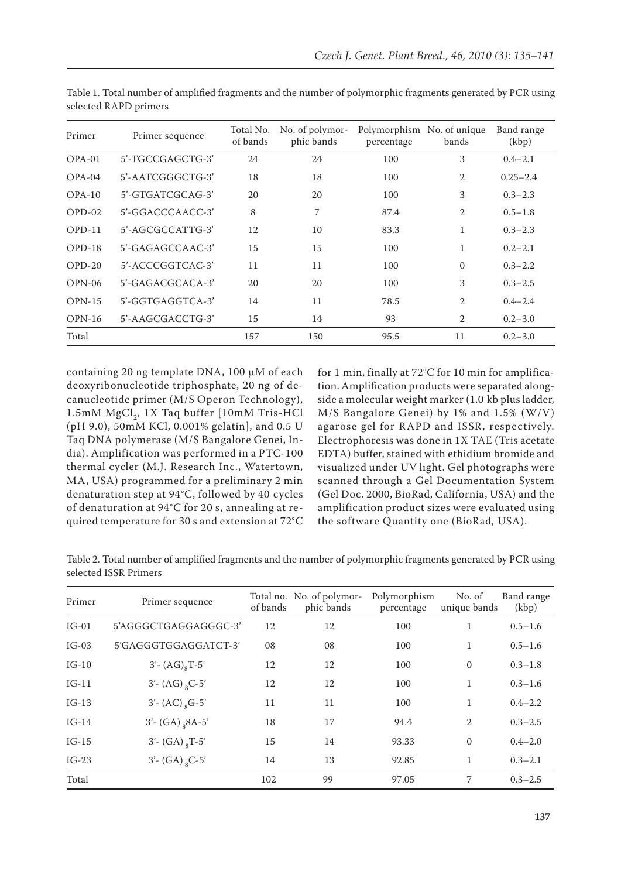| Primer   | Primer sequence     | Total No.<br>of bands | No. of polymor-<br>phic bands | Polymorphism No. of unique<br>percentage | bands          | Band range<br>(kbp) |
|----------|---------------------|-----------------------|-------------------------------|------------------------------------------|----------------|---------------------|
| $OPA-01$ | 5'-TGCCGAGCTG-3'    | 24                    | 24                            | 100                                      | 3              | $0.4 - 2.1$         |
| $OPA-04$ | $5'$ -AATCGGGCTG-3' | 18                    | 18                            | 100                                      | $\overline{2}$ | $0.25 - 2.4$        |
| $OPA-10$ | $5'$ -GTGATCGCAG-3' | 20                    | 20                            | 100                                      | 3              | $0.3 - 2.3$         |
| $OPD-02$ | $5'$ -GGACCCAACC-3' | 8                     | 7                             | 87.4                                     | $\overline{2}$ | $0.5 - 1.8$         |
| $OPD-11$ | $5'$ -AGCGCCATTG-3' | 12                    | 10                            | 83.3                                     | $\mathbf{1}$   | $0.3 - 2.3$         |
| $OPD-18$ | $5'$ -GAGAGCCAAC-3' | 15                    | 15                            | 100                                      | 1              | $0.2 - 2.1$         |
| $OPD-20$ | $5'$ -ACCCGGTCAC-3' | 11                    | 11                            | 100                                      | $\Omega$       | $0.3 - 2.2$         |
| $OPN-06$ | 5'-GAGACGCACA-3'    | 20                    | 20                            | 100                                      | 3              | $0.3 - 2.5$         |
| $OPN-15$ | $5'$ -GGTGAGGTCA-3' | 14                    | 11                            | 78.5                                     | $\overline{2}$ | $0.4 - 2.4$         |
| $OPN-16$ | 5'-AAGCGACCTG-3'    | 15                    | 14                            | 93                                       | $\overline{2}$ | $0.2 - 3.0$         |
| Total    |                     | 157                   | 150                           | 95.5                                     | 11             | $0.2 - 3.0$         |

Table 1. Total number of amplified fragments and the number of polymorphic fragments generated by PCR using selected RAPD primers

containing 20 ng template DNA, 100 µM of each deoxyribonucleotide triphosphate, 20 ng of decanucleotide primer (M/S Operon Technology), 1.5mM MgCl<sub>2</sub>, 1X Taq buffer [10mM Tris-HCl (pH 9.0), 50mM KCl, 0.001% gelatin], and 0.5 U Taq DNA polymerase (M/S Bangalore Genei, India). Amplification was performed in a PTC-100 thermal cycler (M.J. Research Inc., Watertown, MA, USA) programmed for a preliminary 2 min denaturation step at 94°C, followed by 40 cycles of denaturation at 94°C for 20 s, annealing at required temperature for 30 s and extension at 72°C for 1 min, finally at 72°C for 10 min for amplification. Amplification products were separated alongside a molecular weight marker (1.0 kb plus ladder, M/S Bangalore Genei) by 1% and 1.5% (W/V) agarose gel for RAPD and ISSR, respectively. Electrophoresis was done in 1X TAE (Tris acetate EDTA) buffer, stained with ethidium bromide and visualized under UV light. Gel photographs were scanned through a Gel Documentation System (Gel Doc. 2000, BioRad, California, USA) and the amplification product sizes were evaluated using the software Quantity one (BioRad, USA).

Table 2. Total number of amplified fragments and the number of polymorphic fragments generated by PCR using selected ISSR Primers

| Primer  | Primer sequence               | of bands | Total no. No. of polymor-<br>phic bands | Polymorphism<br>percentage | No. of<br>unique bands | Band range<br>(kbp) |
|---------|-------------------------------|----------|-----------------------------------------|----------------------------|------------------------|---------------------|
| $IG-01$ | 5'AGGGCTGAGGAGGGC-3'          | 12       | 12                                      | 100                        |                        | $0.5 - 1.6$         |
| $IG-03$ | 5'GAGGGTGGAGGATCT-3'          | 08       | 08                                      | 100                        | 1                      | $0.5 - 1.6$         |
| $IG-10$ | $3'$ - $(AG)_{8}T$ -5'        | 12       | 12                                      | 100                        | $\Omega$               | $0.3 - 1.8$         |
| $IG-11$ | $3'$ - (AG) <sub>8</sub> C-5' | 12       | 12                                      | 100                        | $\mathbf{1}$           | $0.3 - 1.6$         |
| $IG-13$ | $3'$ - (AC) <sub>8</sub> G-5' | 11       | 11                                      | 100                        | 1                      | $0.4 - 2.2$         |
| $IG-14$ | $3'$ - (GA) $_8$ 8A-5'        | 18       | 17                                      | 94.4                       | $\overline{2}$         | $0.3 - 2.5$         |
| $IG-15$ | $3'$ - (GA) $_{8}T$ -5'       | 15       | 14                                      | 93.33                      | $\Omega$               | $0.4 - 2.0$         |
| $IG-23$ | $3'$ - (GA) <sub>8</sub> C-5' | 14       | 13                                      | 92.85                      | 1                      | $0.3 - 2.1$         |
| Total   |                               | 102      | 99                                      | 97.05                      | 7                      | $0.3 - 2.5$         |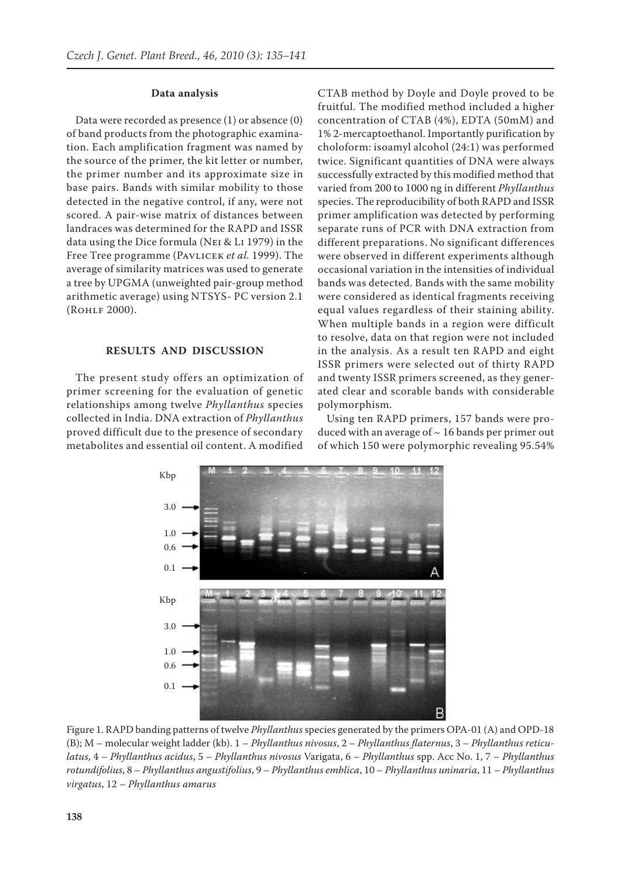### **Data analysis**

Data were recorded as presence (1) or absence (0) of band products from the photographic examination. Each amplification fragment was named by the source of the primer, the kit letter or number, the primer number and its approximate size in base pairs. Bands with similar mobility to those detected in the negative control, if any, were not scored. A pair-wise matrix of distances between landraces was determined for the RAPD and ISSR data using the Dice formula (Nei & Li 1979) in the Free Tree programme (PAVLICEK et al. 1999). The average of similarity matrices was used to generate a tree by UPGMA (unweighted pair-group method arithmetic average) using NTSYS- PC version 2.1 (Rohlf 2000).

# **Results and Discussion**

The present study offers an optimization of primer screening for the evaluation of genetic relationships among twelve *Phyllanthus* species collected in India. DNA extraction of *Phyllanthus* proved difficult due to the presence of secondary metabolites and essential oil content. A modified CTAB method by Doyle and Doyle proved to be fruitful. The modified method included a higher concentration of CTAB (4%), EDTA (50mM) and 1% 2-mercaptoethanol. Importantly purification by choloform: isoamyl alcohol (24:1) was performed twice. Significant quantities of DNA were always successfully extracted by this modified method that varied from 200 to 1000 ng in different *Phyllanthus*  species. The reproducibility of both RAPD and ISSR primer amplification was detected by performing separate runs of PCR with DNA extraction from different preparations. No significant differences were observed in different experiments although occasional variation in the intensities of individual bands was detected. Bands with the same mobility were considered as identical fragments receiving equal values regardless of their staining ability. When multiple bands in a region were difficult to resolve, data on that region were not included in the analysis. As a result ten RAPD and eight ISSR primers were selected out of thirty RAPD and twenty ISSR primers screened, as they generated clear and scorable bands with considerable polymorphism.

Using ten RAPD primers, 157 bands were produced with an average of  $\sim$  16 bands per primer out of which 150 were polymorphic revealing 95.54%



Figure 1. RAPD banding patterns of twelve *Phyllanthus* species generated by the primers OPA-01 (A) and OPD-18 (B); M – molecular weight ladder (kb). 1 – *Phyllanthus nivosus*, 2 – *Phyllanthus flaternus*, 3 – *Phyllanthus reticulatus*, 4 – *Phyllanthus acidus*, 5 – *Phyllanthus nivosus* Varigata, 6 – *Phyllanthus* spp. Acc No. 1, 7 – *Phyllanthus rotundifolius*, 8 – *Phyllanthus angustifolius*, 9 – *Phyllanthus emblica*, 10 – *Phyllanthus uninaria*, 11 – *Phyllanthus virgatus*, 12 – *Phyllanthus amarus*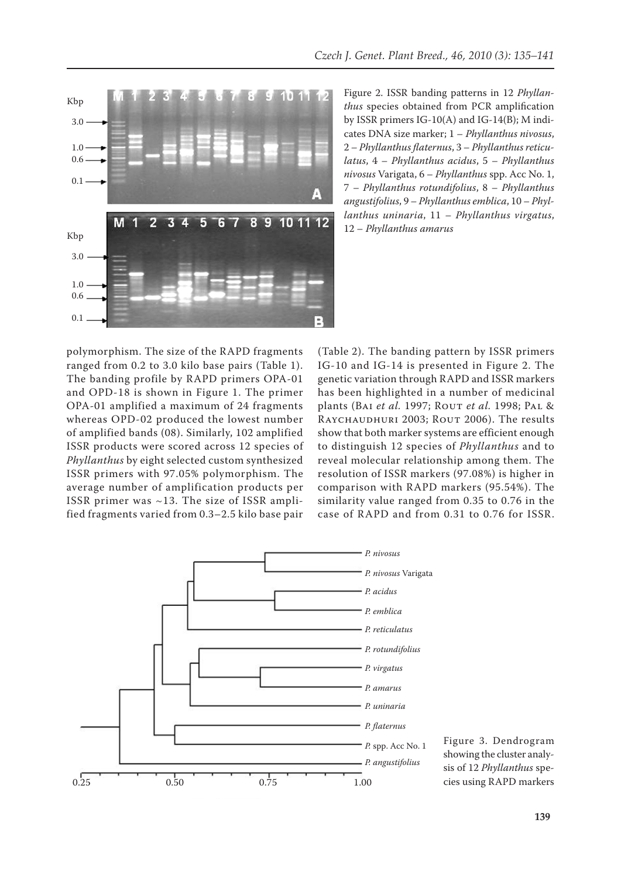

Figure 2. ISSR banding patterns in 12 *Phyllanthus* species obtained from PCR amplification by ISSR primers IG-10(A) and IG-14(B); M indicates DNA size marker; 1 – *Phyllanthus nivosus*, 2 – *Phyllanthus flaternus*, 3 – *Phyllanthus reticulatus*, 4 – *Phyllanthus acidus*, 5 – *Phyllanthus nivosus* Varigata, 6 – *Phyllanthus* spp. Acc No. 1, 7 – *Phyllanthus rotundifolius*, 8 – *Phyllanthus angustifolius*, 9 – *Phyllanthus emblica*, 10 – *Phyllanthus uninaria*, 11 – *Phyllanthus virgatus*, 12 – *Phyllanthus amarus*

polymorphism. The size of the RAPD fragments ranged from 0.2 to 3.0 kilo base pairs (Table 1). The banding profile by RAPD primers OPA-01 and OPD-18 is shown in Figure 1. The primer OPA-01 amplified a maximum of 24 fragments whereas OPD-02 produced the lowest number of amplified bands (08). Similarly, 102 amplified ISSR products were scored across 12 species of *Phyllanthus* by eight selected custom synthesized ISSR primers with 97.05% polymorphism. The average number of amplification products per ISSR primer was ~13. The size of ISSR amplified fragments varied from 0.3–2.5 kilo base pair

(Table 2). The banding pattern by ISSR primers IG-10 and IG-14 is presented in Figure 2. The genetic variation through RAPD and ISSR markers has been highlighted in a number of medicinal plants (Bai *et al.* 1997; Rout *et al.* 1998; Pal & Raychaudhuri 2003; Rout 2006). The results show that both marker systems are efficient enough to distinguish 12 species of *Phyllanthus* and to reveal molecular relationship among them. The resolution of ISSR markers (97.08%) is higher in comparison with RAPD markers (95.54%). The similarity value ranged from 0.35 to 0.76 in the case of RAPD and from 0.31 to 0.76 for ISSR.



Figure 3. Dendrogram showing the cluster analysis of 12 *Phyllanthus* species using RAPD markers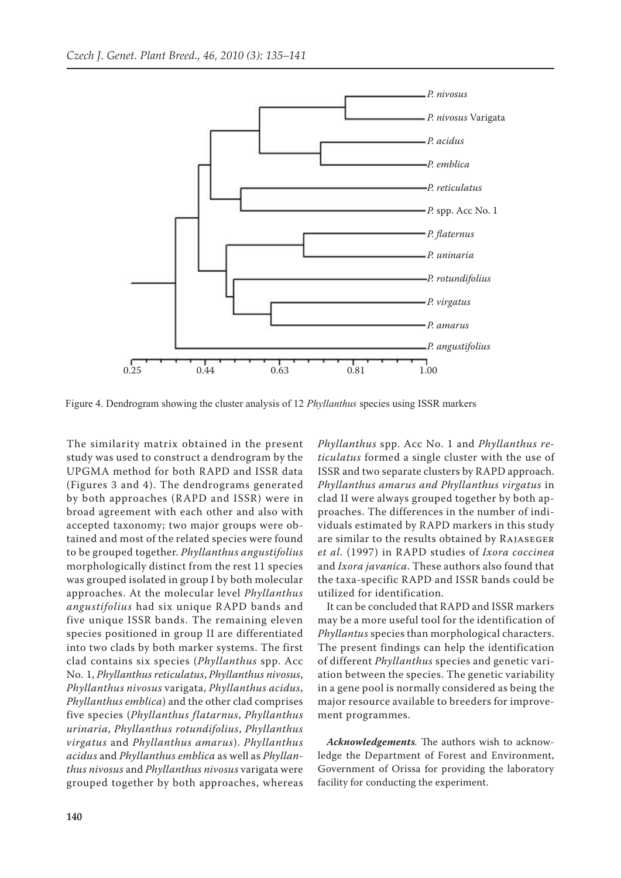

Figure 4. Dendrogram showing the cluster analysis of 12 *Phyllanthus* species using ISSR markers

The similarity matrix obtained in the present study was used to construct a dendrogram by the UPGMA method for both RAPD and ISSR data (Figures 3 and 4). The dendrograms generated by both approaches (RAPD and ISSR) were in broad agreement with each other and also with accepted taxonomy; two major groups were obtained and most of the related species were found to be grouped together. *Phyllanthus angustifolius*  morphologically distinct from the rest 11 species was grouped isolated in group I by both molecular approaches. At the molecular level *Phyllanthus angustifolius* had six unique RAPD bands and five unique ISSR bands. The remaining eleven species positioned in group II are differentiated into two clads by both marker systems. The first clad contains six species (*Phyllanthus* spp. Acc No. 1, *Phyllanthus reticulatus*, *Phyllanthus nivosus*, *Phyllanthus nivosus* varigata, *Phyllanthus acidus*, *Phyllanthus emblica*) and the other clad comprises five species (*Phyllanthus flatarnus*, *Phyllanthus urinaria*, *Phyllanthus rotundifolius*, *Phyllanthus virgatus* and *Phyllanthus amarus*). *Phyllanthus acidus* and *Phyllanthus emblica* as well as *Phyllanthus nivosus* and *Phyllanthus nivosus* varigata were grouped together by both approaches, whereas *Phyllanthus* spp. Acc No. 1 and *Phyllanthus reticulatus* formed a single cluster with the use of ISSR and two separate clusters by RAPD approach. *Phyllanthus amarus and Phyllanthus virgatus* in clad II were always grouped together by both approaches. The differences in the number of individuals estimated by RAPD markers in this study are similar to the results obtained by Rajaseger *et al.* (1997) in RAPD studies of *Ixora coccinea* and *Ixora javanica*. These authors also found that the taxa-specific RAPD and ISSR bands could be utilized for identification.

It can be concluded that RAPD and ISSR markers may be a more useful tool for the identification of *Phyllantus* species than morphological characters. The present findings can help the identification of different *Phyllanthus* species and genetic variation between the species. The genetic variability in a gene pool is normally considered as being the major resource available to breeders for improvement programmes.

*Acknowledgements.* The authors wish to acknowledge the Department of Forest and Environment, Government of Orissa for providing the laboratory facility for conducting the experiment.